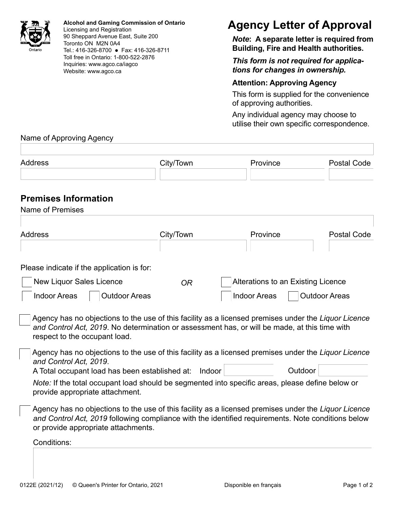

**Alcohol and Gaming Commission of Ontario** Licensing and Registration 90 Sheppard Avenue East, Suite 200 Toronto ON M2N 0A4 Tel.: 416-326-8700 Fax: 416-326-8711 Toll free in Ontario: 1-800-522-2876 Inquiries: www.agco.ca/iagco Website: www.agco.ca

## **Agency Letter of Approval**

*Note***: A separate letter is required from Building, Fire and Health authorities.**

*This form is not required for applications for changes in ownership.*

## **Attention: Approving Agency**

This form is supplied for the convenience of approving authorities.

Any individual agency may choose to utilise their own specific correspondence.

## Name of Approving Agency

| <b>Address</b>                                                                                                                                                                                                                                    | City/Town | Province                                                  | <b>Postal Code</b>   |
|---------------------------------------------------------------------------------------------------------------------------------------------------------------------------------------------------------------------------------------------------|-----------|-----------------------------------------------------------|----------------------|
| <b>Premises Information</b><br><b>Name of Premises</b>                                                                                                                                                                                            |           |                                                           |                      |
| <b>Address</b>                                                                                                                                                                                                                                    | City/Town | Province                                                  | <b>Postal Code</b>   |
| Please indicate if the application is for:                                                                                                                                                                                                        |           |                                                           |                      |
| <b>New Liquor Sales Licence</b><br><b>Indoor Areas</b><br><b>Outdoor Areas</b>                                                                                                                                                                    | <b>OR</b> | Alterations to an Existing Licence<br><b>Indoor Areas</b> | <b>Outdoor Areas</b> |
| Agency has no objections to the use of this facility as a licensed premises under the Liquor Licence<br>and Control Act, 2019. No determination or assessment has, or will be made, at this time with<br>respect to the occupant load.            |           |                                                           |                      |
| Agency has no objections to the use of this facility as a licensed premises under the Liquor Licence<br>and Control Act. 2019.                                                                                                                    |           |                                                           |                      |
| A Total occupant load has been established at: Indoor<br>Note: If the total occupant load should be segmented into specific areas, please define below or<br>provide appropriate attachment.                                                      |           | Outdoor                                                   |                      |
| Agency has no objections to the use of this facility as a licensed premises under the Liquor Licence<br>and Control Act, 2019 following compliance with the identified requirements. Note conditions below<br>or provide appropriate attachments. |           |                                                           |                      |
| Conditions:                                                                                                                                                                                                                                       |           |                                                           |                      |